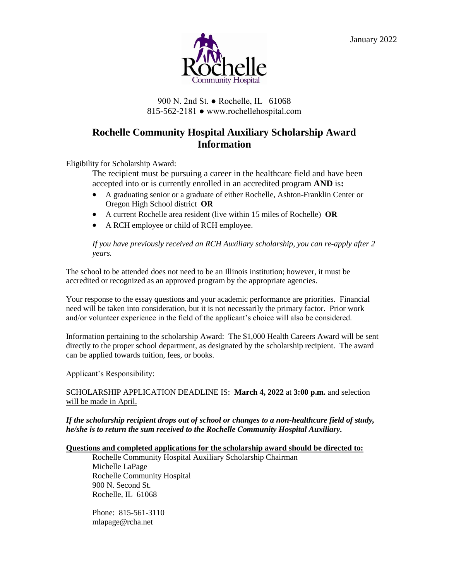

## 900 N. 2nd St. ● Rochelle, IL 61068 815-562-2181 ● www.rochellehospital.com

## **Rochelle Community Hospital Auxiliary Scholarship Award Information**

Eligibility for Scholarship Award:

The recipient must be pursuing a career in the healthcare field and have been accepted into or is currently enrolled in an accredited program **AND** is**:**

- A graduating senior or a graduate of either Rochelle, Ashton-Franklin Center or Oregon High School district **OR**
- A current Rochelle area resident (live within 15 miles of Rochelle) **OR**
- A RCH employee or child of RCH employee.

*If you have previously received an RCH Auxiliary scholarship, you can re-apply after 2 years.*

The school to be attended does not need to be an Illinois institution; however, it must be accredited or recognized as an approved program by the appropriate agencies.

Your response to the essay questions and your academic performance are priorities. Financial need will be taken into consideration, but it is not necessarily the primary factor. Prior work and/or volunteer experience in the field of the applicant's choice will also be considered.

Information pertaining to the scholarship Award: The \$1,000 Health Careers Award will be sent directly to the proper school department, as designated by the scholarship recipient. The award can be applied towards tuition, fees, or books.

Applicant's Responsibility:

#### SCHOLARSHIP APPLICATION DEADLINE IS: **March 4, 2022** at **3:00 p.m.** and selection will be made in April.

*If the scholarship recipient drops out of school or changes to a non-healthcare field of study, he/she is to return the sum received to the Rochelle Community Hospital Auxiliary.*

## **Questions and completed applications for the scholarship award should be directed to:**

Rochelle Community Hospital Auxiliary Scholarship Chairman Michelle LaPage Rochelle Community Hospital 900 N. Second St. Rochelle, IL 61068

Phone: 815-561-3110 mlapage@rcha.net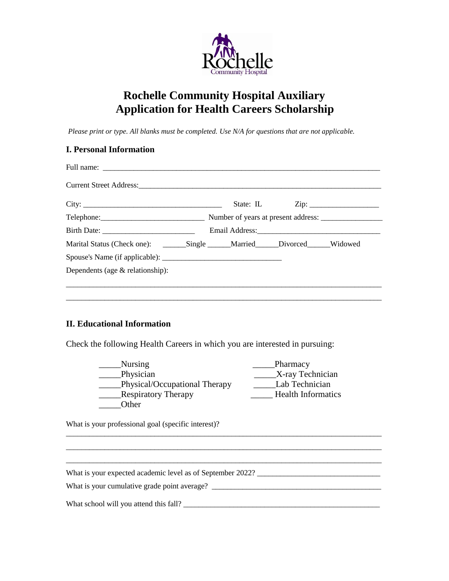

# **Rochelle Community Hospital Auxiliary Application for Health Careers Scholarship**

*Please print or type. All blanks must be completed. Use N/A for questions that are not applicable.*

|                                                             | Telephone: Number of years at present address: __________________________________ |  |  |  |
|-------------------------------------------------------------|-----------------------------------------------------------------------------------|--|--|--|
|                                                             |                                                                                   |  |  |  |
| Marital Status (Check one): Single Married Divorced Widowed |                                                                                   |  |  |  |
|                                                             |                                                                                   |  |  |  |
| Dependents (age & relationship):                            |                                                                                   |  |  |  |

## **II. Educational Information**

Check the following Health Careers in which you are interested in pursuing:

| Nursing                       | Pharmacy                  |
|-------------------------------|---------------------------|
| Physician                     | X-ray Technician          |
| Physical/Occupational Therapy | Lab Technician            |
| <b>Respiratory Therapy</b>    | <b>Health Informatics</b> |
| Other                         |                           |

 $\frac{1}{2}$  ,  $\frac{1}{2}$  ,  $\frac{1}{2}$  ,  $\frac{1}{2}$  ,  $\frac{1}{2}$  ,  $\frac{1}{2}$  ,  $\frac{1}{2}$  ,  $\frac{1}{2}$  ,  $\frac{1}{2}$  ,  $\frac{1}{2}$  ,  $\frac{1}{2}$  ,  $\frac{1}{2}$  ,  $\frac{1}{2}$  ,  $\frac{1}{2}$  ,  $\frac{1}{2}$  ,  $\frac{1}{2}$  ,  $\frac{1}{2}$  ,  $\frac{1}{2}$  ,  $\frac{1$ 

What is your professional goal (specific interest)?

 $\overline{\phantom{a}}$  , and the contribution of the contribution of the contribution of the contribution of the contribution of the contribution of the contribution of the contribution of the contribution of the contribution of the What is your expected academic level as of September 2022? What is your cumulative grade point average? \_\_\_\_\_\_\_\_\_\_\_\_\_\_\_\_\_\_\_\_\_\_\_\_\_\_\_\_\_\_\_\_\_\_\_\_\_\_\_\_\_\_\_\_ What school will you attend this fall? \_\_\_\_\_\_\_\_\_\_\_\_\_\_\_\_\_\_\_\_\_\_\_\_\_\_\_\_\_\_\_\_\_\_\_\_\_\_\_\_\_\_\_\_\_\_\_\_\_\_\_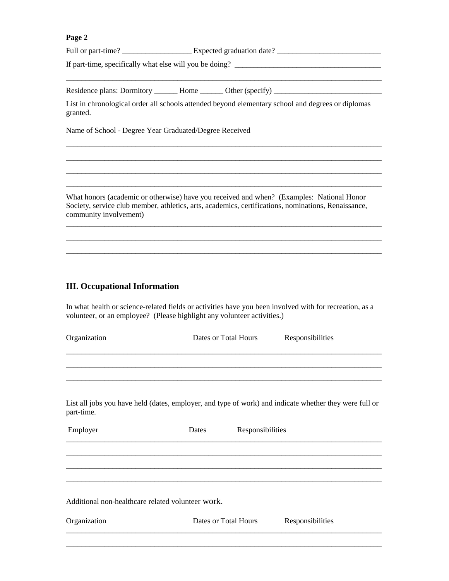#### **Page 2**

Full or part-time? \_\_\_\_\_\_\_\_\_\_\_\_\_\_\_\_\_\_ Expected graduation date? \_\_\_\_\_\_\_\_\_\_\_\_\_\_\_\_\_\_\_\_\_\_\_\_\_\_\_

If part-time, specifically what else will you be doing? \_\_\_\_\_\_\_\_\_\_\_\_\_\_\_\_\_\_\_\_\_\_\_\_\_\_\_\_\_\_\_\_\_\_\_\_\_\_

Residence plans: Dormitory \_\_\_\_\_\_ Home \_\_\_\_\_\_ Other (specify) \_\_\_\_\_\_\_\_\_\_\_\_\_\_\_\_\_\_\_\_\_\_\_\_\_\_\_\_

List in chronological order all schools attended beyond elementary school and degrees or diplomas granted.

 $\overline{\phantom{a}}$  ,  $\overline{\phantom{a}}$  ,  $\overline{\phantom{a}}$  ,  $\overline{\phantom{a}}$  ,  $\overline{\phantom{a}}$  ,  $\overline{\phantom{a}}$  ,  $\overline{\phantom{a}}$  ,  $\overline{\phantom{a}}$  ,  $\overline{\phantom{a}}$  ,  $\overline{\phantom{a}}$  ,  $\overline{\phantom{a}}$  ,  $\overline{\phantom{a}}$  ,  $\overline{\phantom{a}}$  ,  $\overline{\phantom{a}}$  ,  $\overline{\phantom{a}}$  ,  $\overline{\phantom{a}}$  $\overline{\phantom{a}}$  ,  $\overline{\phantom{a}}$  ,  $\overline{\phantom{a}}$  ,  $\overline{\phantom{a}}$  ,  $\overline{\phantom{a}}$  ,  $\overline{\phantom{a}}$  ,  $\overline{\phantom{a}}$  ,  $\overline{\phantom{a}}$  ,  $\overline{\phantom{a}}$  ,  $\overline{\phantom{a}}$  ,  $\overline{\phantom{a}}$  ,  $\overline{\phantom{a}}$  ,  $\overline{\phantom{a}}$  ,  $\overline{\phantom{a}}$  ,  $\overline{\phantom{a}}$  ,  $\overline{\phantom{a}}$ \_\_\_\_\_\_\_\_\_\_\_\_\_\_\_\_\_\_\_\_\_\_\_\_\_\_\_\_\_\_\_\_\_\_\_\_\_\_\_\_\_\_\_\_\_\_\_\_\_\_\_\_\_\_\_\_\_\_\_\_\_\_\_\_\_\_\_\_\_\_\_\_\_\_\_\_\_\_\_\_\_\_  $\overline{\phantom{a}}$  ,  $\overline{\phantom{a}}$  ,  $\overline{\phantom{a}}$  ,  $\overline{\phantom{a}}$  ,  $\overline{\phantom{a}}$  ,  $\overline{\phantom{a}}$  ,  $\overline{\phantom{a}}$  ,  $\overline{\phantom{a}}$  ,  $\overline{\phantom{a}}$  ,  $\overline{\phantom{a}}$  ,  $\overline{\phantom{a}}$  ,  $\overline{\phantom{a}}$  ,  $\overline{\phantom{a}}$  ,  $\overline{\phantom{a}}$  ,  $\overline{\phantom{a}}$  ,  $\overline{\phantom{a}}$ 

\_\_\_\_\_\_\_\_\_\_\_\_\_\_\_\_\_\_\_\_\_\_\_\_\_\_\_\_\_\_\_\_\_\_\_\_\_\_\_\_\_\_\_\_\_\_\_\_\_\_\_\_\_\_\_\_\_\_\_\_\_\_\_\_\_\_\_\_\_\_\_\_\_\_\_\_\_\_\_\_\_\_

Name of School - Degree Year Graduated/Degree Received

What honors (academic or otherwise) have you received and when? (Examples: National Honor Society, service club member, athletics, arts, academics, certifications, nominations, Renaissance, community involvement)

 $\overline{\phantom{a}}$  ,  $\overline{\phantom{a}}$  ,  $\overline{\phantom{a}}$  ,  $\overline{\phantom{a}}$  ,  $\overline{\phantom{a}}$  ,  $\overline{\phantom{a}}$  ,  $\overline{\phantom{a}}$  ,  $\overline{\phantom{a}}$  ,  $\overline{\phantom{a}}$  ,  $\overline{\phantom{a}}$  ,  $\overline{\phantom{a}}$  ,  $\overline{\phantom{a}}$  ,  $\overline{\phantom{a}}$  ,  $\overline{\phantom{a}}$  ,  $\overline{\phantom{a}}$  ,  $\overline{\phantom{a}}$  $\overline{\phantom{a}}$  , and the contribution of the contribution of the contribution of the contribution of the contribution of the contribution of the contribution of the contribution of the contribution of the contribution of the  $\overline{\phantom{a}}$  ,  $\overline{\phantom{a}}$  ,  $\overline{\phantom{a}}$  ,  $\overline{\phantom{a}}$  ,  $\overline{\phantom{a}}$  ,  $\overline{\phantom{a}}$  ,  $\overline{\phantom{a}}$  ,  $\overline{\phantom{a}}$  ,  $\overline{\phantom{a}}$  ,  $\overline{\phantom{a}}$  ,  $\overline{\phantom{a}}$  ,  $\overline{\phantom{a}}$  ,  $\overline{\phantom{a}}$  ,  $\overline{\phantom{a}}$  ,  $\overline{\phantom{a}}$  ,  $\overline{\phantom{a}}$ 

## **III. Occupational Information**

In what health or science-related fields or activities have you been involved with for recreation, as a volunteer, or an employee? (Please highlight any volunteer activities.)

| Organization                                      | Dates or Total Hours | Responsibilities                                                                                       |  |
|---------------------------------------------------|----------------------|--------------------------------------------------------------------------------------------------------|--|
|                                                   |                      |                                                                                                        |  |
|                                                   |                      |                                                                                                        |  |
| part-time.                                        |                      | List all jobs you have held (dates, employer, and type of work) and indicate whether they were full or |  |
| Employer                                          | Dates                | Responsibilities                                                                                       |  |
|                                                   |                      |                                                                                                        |  |
|                                                   |                      |                                                                                                        |  |
|                                                   |                      |                                                                                                        |  |
| Additional non-healthcare related volunteer work. |                      |                                                                                                        |  |
| Organization                                      | Dates or Total Hours |                                                                                                        |  |
|                                                   |                      |                                                                                                        |  |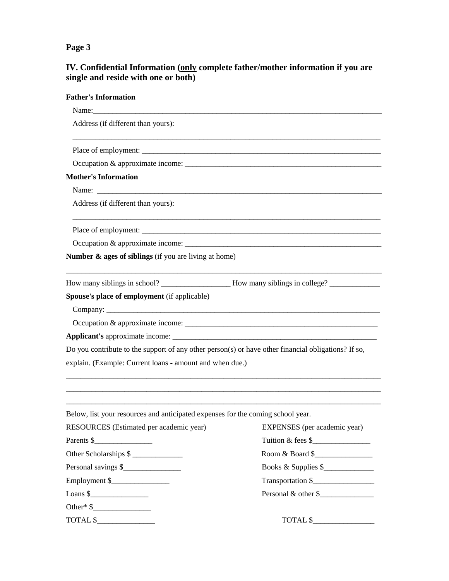## **Page 3**

## **IV. Confidential Information (only complete father/mother information if you are single and reside with one or both)**

| <b>Father's Information</b>                                                                         |                                    |  |  |
|-----------------------------------------------------------------------------------------------------|------------------------------------|--|--|
|                                                                                                     |                                    |  |  |
| Address (if different than yours):                                                                  |                                    |  |  |
|                                                                                                     |                                    |  |  |
|                                                                                                     |                                    |  |  |
| <b>Mother's Information</b>                                                                         |                                    |  |  |
|                                                                                                     |                                    |  |  |
| Address (if different than yours):                                                                  |                                    |  |  |
|                                                                                                     |                                    |  |  |
|                                                                                                     |                                    |  |  |
| Number $\&$ ages of siblings (if you are living at home)                                            |                                    |  |  |
|                                                                                                     |                                    |  |  |
| Spouse's place of employment (if applicable)                                                        |                                    |  |  |
|                                                                                                     |                                    |  |  |
|                                                                                                     |                                    |  |  |
|                                                                                                     |                                    |  |  |
| Do you contribute to the support of any other person(s) or have other financial obligations? If so, |                                    |  |  |
| explain. (Example: Current loans - amount and when due.)                                            |                                    |  |  |
|                                                                                                     |                                    |  |  |
| Below, list your resources and anticipated expenses for the coming school year.                     |                                    |  |  |
| RESOURCES (Estimated per academic year)                                                             | EXPENSES (per academic year)       |  |  |
| Parents \$                                                                                          | Tuition & fees $\frac{1}{2}$ [100] |  |  |
| Other Scholarships \$                                                                               | Room & Board \$                    |  |  |
| Personal savings \$                                                                                 | Books & Supplies \$                |  |  |
| Employment \$                                                                                       | Transportation \$                  |  |  |
| Loans $\frac{\sqrt{2}}{2}$                                                                          | Personal & other \$                |  |  |
| Other* $\frac{1}{2}$                                                                                |                                    |  |  |
| TOTAL \$                                                                                            | TOTAL \$                           |  |  |